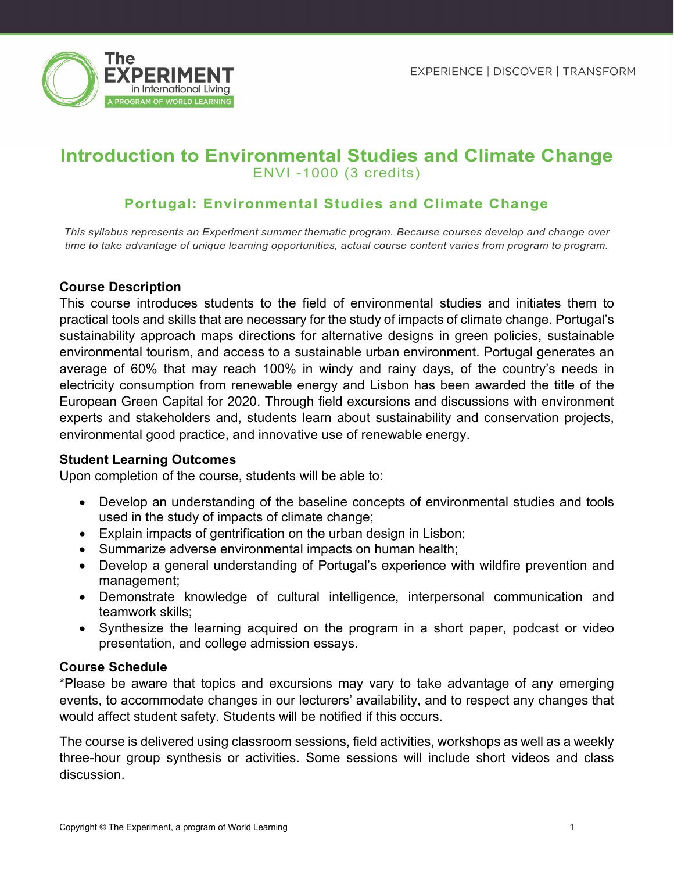

# **Introduction to Environmental Studies and Climate Change** ENVI -1000 (3 credits)

## **Portugal: Environmental Studies and Climate Change**

*This syllabus represents an Experiment summer thematic program. Because courses develop and change over time to take advantage of unique learning opportunities, actual course content varies from program to program.*

### **Course Description**

This course introduces students to the field of environmental studies and initiates them to practical tools and skills that are necessary for the study of impacts of climate change. Portugal's sustainability approach maps directions for alternative designs in green policies, sustainable environmental tourism, and access to a sustainable urban environment. Portugal generates an average of 60% that may reach 100% in windy and rainy days, of the country's needs in electricity consumption from renewable energy and Lisbon has been awarded the title of the European Green Capital for 2020. Through field excursions and discussions with environment experts and stakeholders and, students learn about sustainability and conservation projects, environmental good practice, and innovative use of renewable energy.

#### **Student Learning Outcomes**

Upon completion of the course, students will be able to:

- Develop an understanding of the baseline concepts of environmental studies and tools used in the study of impacts of climate change;
- Explain impacts of gentrification on the urban design in Lisbon;
- Summarize adverse environmental impacts on human health;
- Develop a general understanding of Portugal's experience with wildfire prevention and management;
- Demonstrate knowledge of cultural intelligence, interpersonal communication and teamwork skills;
- Synthesize the learning acquired on the program in a short paper, podcast or video presentation, and college admission essays.

#### **Course Schedule**

\*Please be aware that topics and excursions may vary to take advantage of any emerging events, to accommodate changes in our lecturers' availability, and to respect any changes that would affect student safety. Students will be notified if this occurs.

The course is delivered using classroom sessions, field activities, workshops as well as a weekly three-hour group synthesis or activities. Some sessions will include short videos and class discussion.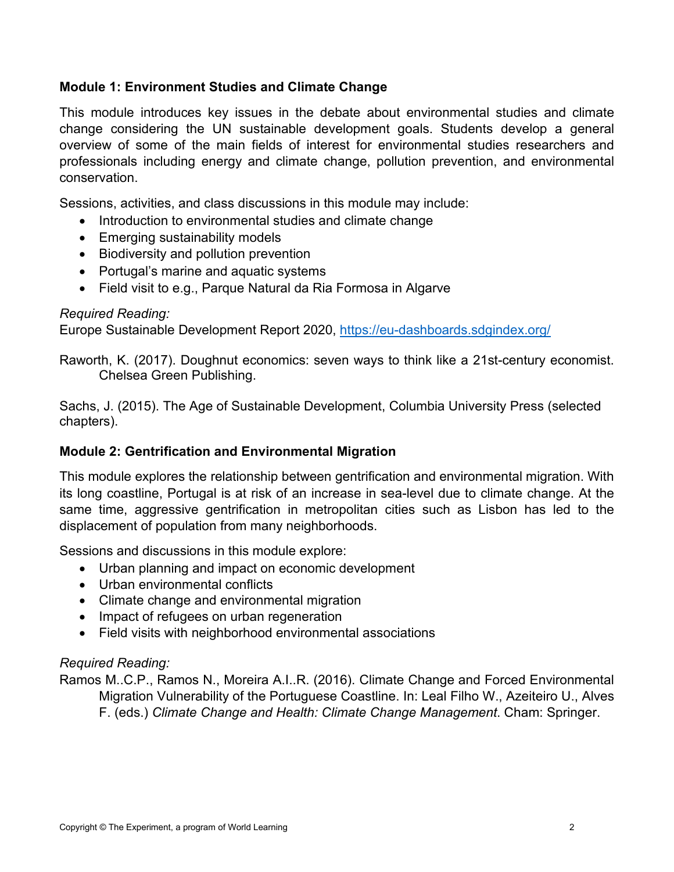### **Module 1: Environment Studies and Climate Change**

This module introduces key issues in the debate about environmental studies and climate change considering the UN sustainable development goals. Students develop a general overview of some of the main fields of interest for environmental studies researchers and professionals including energy and climate change, pollution prevention, and environmental conservation.

Sessions, activities, and class discussions in this module may include:

- Introduction to environmental studies and climate change
- Emerging sustainability models
- Biodiversity and pollution prevention
- Portugal's marine and aquatic systems
- Field visit to e.g., Parque Natural da Ria Formosa in Algarve

### *Required Reading:*

Europe Sustainable Development Report 2020,<https://eu-dashboards.sdgindex.org/>

Raworth, K. (2017). Doughnut economics: seven ways to think like a 21st-century economist. Chelsea Green Publishing.

Sachs, J. (2015). The Age of Sustainable Development, Columbia University Press (selected chapters).

### **Module 2: Gentrification and Environmental Migration**

This module explores the relationship between gentrification and environmental migration. With its long coastline, Portugal is at risk of an increase in sea-level due to climate change. At the same time, aggressive gentrification in metropolitan cities such as Lisbon has led to the displacement of population from many neighborhoods.

Sessions and discussions in this module explore:

- Urban planning and impact on economic development
- Urban environmental conflicts
- Climate change and environmental migration
- Impact of refugees on urban regeneration
- Field visits with neighborhood environmental associations

## *Required Reading:*

Ramos M..C.P., Ramos N., Moreira A.I..R. (2016). Climate Change and Forced Environmental Migration Vulnerability of the Portuguese Coastline. In: Leal Filho W., Azeiteiro U., Alves F. (eds.) *Climate Change and Health: Climate Change Management*. Cham: Springer.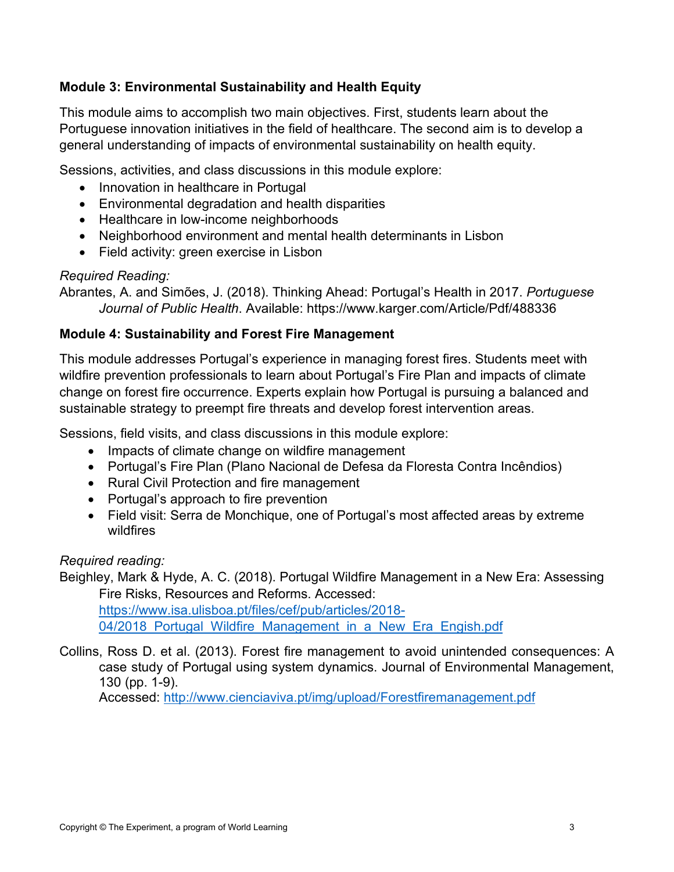## **Module 3: Environmental Sustainability and Health Equity**

This module aims to accomplish two main objectives. First, students learn about the Portuguese innovation initiatives in the field of healthcare. The second aim is to develop a general understanding of impacts of environmental sustainability on health equity.

Sessions, activities, and class discussions in this module explore:

- Innovation in healthcare in Portugal
- Environmental degradation and health disparities
- Healthcare in low-income neighborhoods
- Neighborhood environment and mental health determinants in Lisbon
- Field activity: green exercise in Lisbon

## *Required Reading:*

Abrantes, A. and Simões, J. (2018). Thinking Ahead: Portugal's Health in 2017. *Portuguese Journal of Public Health*. Available: https://www.karger.com/Article/Pdf/488336

### **Module 4: Sustainability and Forest Fire Management**

This module addresses Portugal's experience in managing forest fires. Students meet with wildfire prevention professionals to learn about Portugal's Fire Plan and impacts of climate change on forest fire occurrence. Experts explain how Portugal is pursuing a balanced and sustainable strategy to preempt fire threats and develop forest intervention areas.

Sessions, field visits, and class discussions in this module explore:

- Impacts of climate change on wildfire management
- Portugal's Fire Plan (Plano Nacional de Defesa da Floresta Contra Incêndios)
- Rural Civil Protection and fire management
- Portugal's approach to fire prevention
- Field visit: Serra de Monchique, one of Portugal's most affected areas by extreme wildfires

### *Required reading:*

Beighley, Mark & Hyde, A. C. (2018). Portugal Wildfire Management in a New Era: Assessing Fire Risks, Resources and Reforms. Accessed: [https://www.isa.ulisboa.pt/files/cef/pub/articles/2018-](https://www.isa.ulisboa.pt/files/cef/pub/articles/2018-%2004/2018_Portugal_Wildfire_Management_in_a_New_Era_Engish.pdf) 04/2018 Portugal Wildfire Management in a New Era Engish.pdf

Collins, Ross D. et al. (2013). Forest fire management to avoid unintended consequences: A case study of Portugal using system dynamics. Journal of Environmental Management, 130 (pp. 1-9).

Accessed:<http://www.cienciaviva.pt/img/upload/Forestfiremanagement.pdf>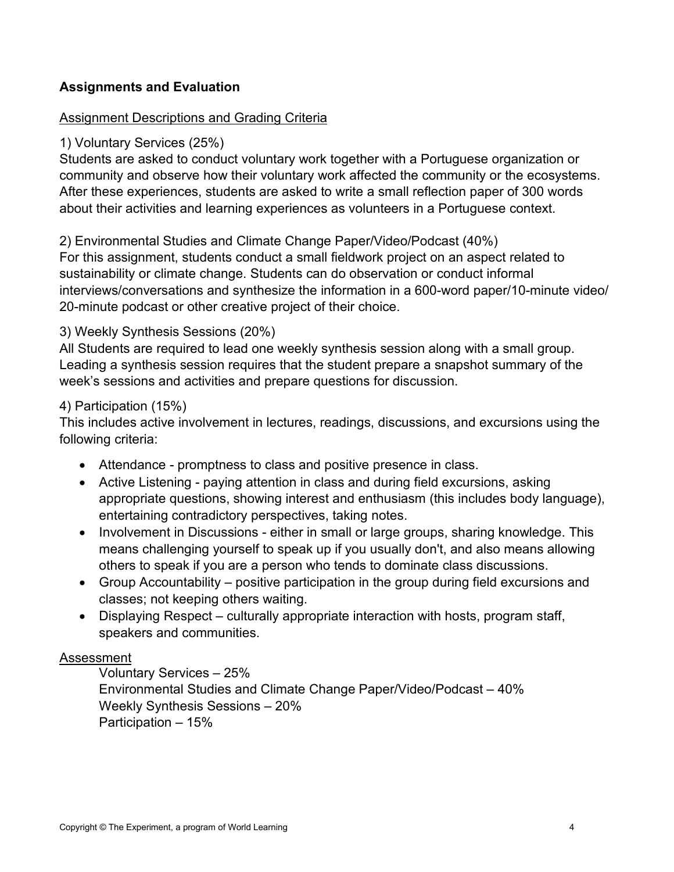## **Assignments and Evaluation**

## Assignment Descriptions and Grading Criteria

### 1) Voluntary Services (25%)

Students are asked to conduct voluntary work together with a Portuguese organization or community and observe how their voluntary work affected the community or the ecosystems. After these experiences, students are asked to write a small reflection paper of 300 words about their activities and learning experiences as volunteers in a Portuguese context.

## 2) Environmental Studies and Climate Change Paper/Video/Podcast (40%)

For this assignment, students conduct a small fieldwork project on an aspect related to sustainability or climate change. Students can do observation or conduct informal interviews/conversations and synthesize the information in a 600-word paper/10-minute video/ 20-minute podcast or other creative project of their choice.

## 3) Weekly Synthesis Sessions (20%)

All Students are required to lead one weekly synthesis session along with a small group. Leading a synthesis session requires that the student prepare a snapshot summary of the week's sessions and activities and prepare questions for discussion.

### 4) Participation (15%)

This includes active involvement in lectures, readings, discussions, and excursions using the following criteria:

- Attendance promptness to class and positive presence in class.
- Active Listening paying attention in class and during field excursions, asking appropriate questions, showing interest and enthusiasm (this includes body language), entertaining contradictory perspectives, taking notes.
- Involvement in Discussions either in small or large groups, sharing knowledge. This means challenging yourself to speak up if you usually don't, and also means allowing others to speak if you are a person who tends to dominate class discussions.
- Group Accountability positive participation in the group during field excursions and classes; not keeping others waiting.
- Displaying Respect culturally appropriate interaction with hosts, program staff, speakers and communities.

### Assessment

Voluntary Services – 25% Environmental Studies and Climate Change Paper/Video/Podcast – 40% Weekly Synthesis Sessions – 20% Participation – 15%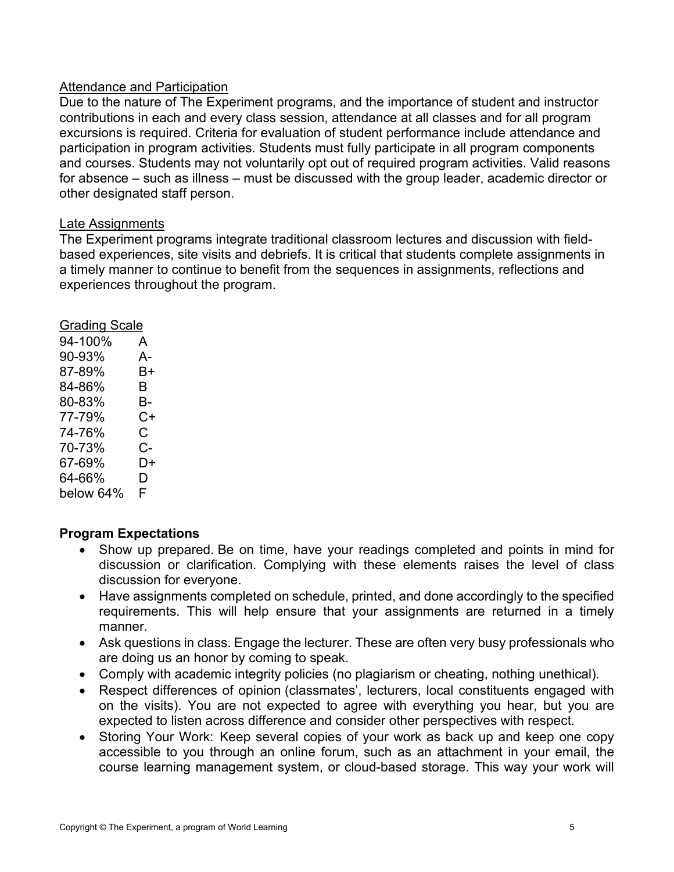### Attendance and Participation

Due to the nature of The Experiment programs, and the importance of student and instructor contributions in each and every class session, attendance at all classes and for all program excursions is required. Criteria for evaluation of student performance include attendance and participation in program activities. Students must fully participate in all program components and courses. Students may not voluntarily opt out of required program activities. Valid reasons for absence – such as illness – must be discussed with the group leader, academic director or other designated staff person.

#### Late Assignments

The Experiment programs integrate traditional classroom lectures and discussion with fieldbased experiences, site visits and debriefs. It is critical that students complete assignments in a timely manner to continue to benefit from the sequences in assignments, reflections and experiences throughout the program.

| <b>Grading Scale</b> |    |
|----------------------|----|
| 94-100%              | A  |
| 90-93%               | А- |
| 87-89%               | B+ |
| 84-86%               | B  |
| 80-83%               | В- |
| 77-79%               | C+ |
| 74-76%               | С  |
| 70-73%               | C- |
| 67-69%               | D+ |
| 64-66%               | D  |
| below 64%            | F  |
|                      |    |

### **Program Expectations**

- Show up prepared. Be on time, have your readings completed and points in mind for discussion or clarification. Complying with these elements raises the level of class discussion for everyone.
- Have assignments completed on schedule, printed, and done accordingly to the specified requirements. This will help ensure that your assignments are returned in a timely manner.
- Ask questions in class. Engage the lecturer. These are often very busy professionals who are doing us an honor by coming to speak.
- Comply with academic integrity policies (no plagiarism or cheating, nothing unethical).
- Respect differences of opinion (classmates', lecturers, local constituents engaged with on the visits). You are not expected to agree with everything you hear, but you are expected to listen across difference and consider other perspectives with respect.
- Storing Your Work:  Keep several copies of your work as back up and keep one copy accessible to you through an online forum, such as an attachment in your email, the course learning management system, or cloud-based storage. This way your work will